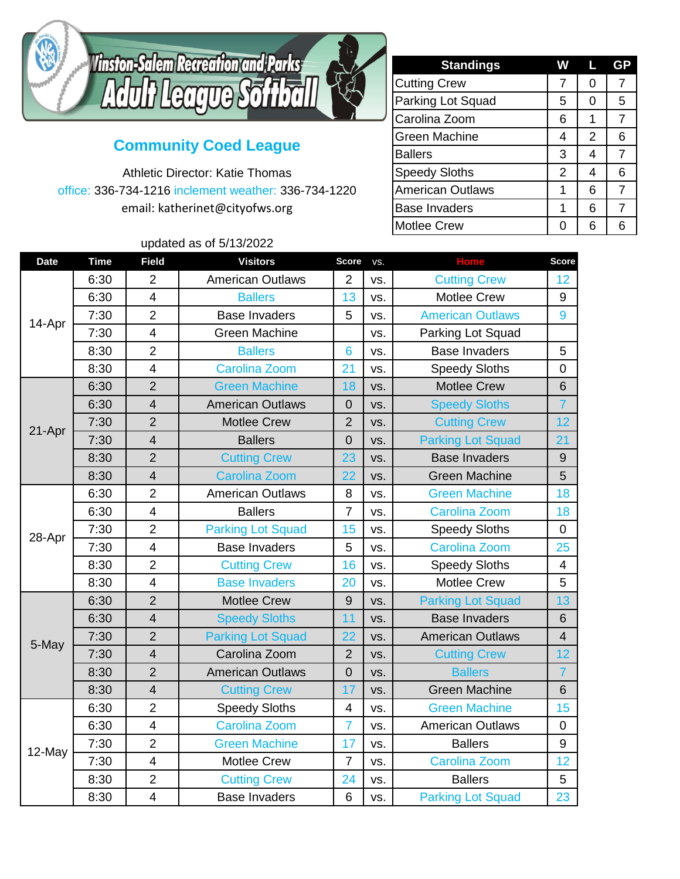

## **Community Coed League**

Athletic Director: Katie Thomas office: 336-734-1216 inclement weather: 336-734-1220 email: katherinet@cityofws.org

## updated as of 5/13/2022

| <b>Standings</b>        | W | Ц | GP             |
|-------------------------|---|---|----------------|
| <b>Cutting Crew</b>     | 7 | 0 | 7              |
| Parking Lot Squad       | 5 | 0 | 5              |
| Carolina Zoom           | 6 |   | $\overline{7}$ |
| <b>Green Machine</b>    | 4 | 2 | 6              |
| <b>Ballers</b>          | 3 | 4 | $\overline{7}$ |
| <b>Speedy Sloths</b>    | 2 | 4 | 6              |
| <b>American Outlaws</b> | 1 | 6 | 7              |
| <b>Base Invaders</b>    | 1 | 6 | 7              |
| <b>Motlee Crew</b>      | O | հ | 6              |

| <b>Date</b> | <b>Time</b> | <b>Field</b>            | <b>Visitors</b>          | <b>Score</b>   | VS. | <b>Home</b>              | <b>Score</b>    |
|-------------|-------------|-------------------------|--------------------------|----------------|-----|--------------------------|-----------------|
| 14-Apr      | 6:30        | $\overline{2}$          | <b>American Outlaws</b>  | $\overline{2}$ | VS. | <b>Cutting Crew</b>      | 12              |
|             | 6:30        | $\overline{\mathbf{4}}$ | <b>Ballers</b>           | 13             | VS. | <b>Motlee Crew</b>       | 9               |
|             | 7:30        | $\overline{2}$          | <b>Base Invaders</b>     | 5              | VS. | <b>American Outlaws</b>  | 9               |
|             | 7:30        | $\overline{4}$          | <b>Green Machine</b>     |                | VS. | Parking Lot Squad        |                 |
|             | 8:30        | $\overline{2}$          | <b>Ballers</b>           | 6              | VS. | <b>Base Invaders</b>     | 5               |
|             | 8:30        | $\overline{\mathbf{4}}$ | <b>Carolina Zoom</b>     | 21             | VS. | <b>Speedy Sloths</b>     | $\mathbf 0$     |
| 21-Apr      | 6:30        | $\overline{2}$          | <b>Green Machine</b>     | 18             | VS. | <b>Motlee Crew</b>       | $6\phantom{1}$  |
|             | 6:30        | $\overline{\mathbf{4}}$ | <b>American Outlaws</b>  | $\mathbf 0$    | VS. | <b>Speedy Sloths</b>     | $\overline{7}$  |
|             | 7:30        | $\overline{2}$          | <b>Motlee Crew</b>       | $\overline{2}$ | VS. | <b>Cutting Crew</b>      | 12              |
|             | 7:30        | 4                       | <b>Ballers</b>           | $\overline{0}$ | VS. | <b>Parking Lot Squad</b> | 21              |
|             | 8:30        | $\overline{2}$          | <b>Cutting Crew</b>      | 23             | VS. | <b>Base Invaders</b>     | $9\,$           |
|             | 8:30        | $\overline{4}$          | <b>Carolina Zoom</b>     | 22             | VS. | <b>Green Machine</b>     | 5               |
| 28-Apr      | 6:30        | $\overline{2}$          | <b>American Outlaws</b>  | 8              | VS. | <b>Green Machine</b>     | 18              |
|             | 6:30        | $\overline{\mathbf{4}}$ | <b>Ballers</b>           | $\overline{7}$ | VS. | <b>Carolina Zoom</b>     | 18              |
|             | 7:30        | $\overline{2}$          | <b>Parking Lot Squad</b> | 15             | VS. | <b>Speedy Sloths</b>     | $\mathbf 0$     |
|             | 7:30        | $\overline{\mathbf{4}}$ | <b>Base Invaders</b>     | 5              | VS. | <b>Carolina Zoom</b>     | 25              |
|             | 8:30        | $\overline{2}$          | <b>Cutting Crew</b>      | 16             | VS. | <b>Speedy Sloths</b>     | $\overline{4}$  |
|             | 8:30        | $\overline{\mathbf{4}}$ | <b>Base Invaders</b>     | 20             | VS. | <b>Motlee Crew</b>       | 5               |
|             | 6:30        | $\overline{2}$          | <b>Motlee Crew</b>       | 9              | VS. | <b>Parking Lot Squad</b> | 13              |
| 5-May       | 6:30        | 4                       | <b>Speedy Sloths</b>     | 11             | VS. | <b>Base Invaders</b>     | $6\phantom{1}$  |
|             | 7:30        | $\overline{2}$          | <b>Parking Lot Squad</b> | 22             | VS. | <b>American Outlaws</b>  | $\overline{4}$  |
|             | 7:30        | $\overline{4}$          | Carolina Zoom            | $\overline{2}$ | VS. | <b>Cutting Crew</b>      | 12 <sub>2</sub> |
|             | 8:30        | $\overline{2}$          | <b>American Outlaws</b>  | $\overline{0}$ | VS. | <b>Ballers</b>           | $\overline{7}$  |
|             | 8:30        | $\overline{\mathbf{4}}$ | <b>Cutting Crew</b>      | 17             | VS. | <b>Green Machine</b>     | $6\phantom{1}$  |
| 12-May      | 6:30        | $\overline{2}$          | <b>Speedy Sloths</b>     | 4              | VS. | <b>Green Machine</b>     | 15              |
|             | 6:30        | $\overline{\mathbf{4}}$ | <b>Carolina Zoom</b>     | $\overline{7}$ | VS. | <b>American Outlaws</b>  | $\mathbf 0$     |
|             | 7:30        | $\overline{2}$          | <b>Green Machine</b>     | 17             | VS. | <b>Ballers</b>           | 9               |
|             | 7:30        | $\overline{\mathbf{4}}$ | <b>Motlee Crew</b>       | $\overline{7}$ | VS. | <b>Carolina Zoom</b>     | 12              |
|             | 8:30        | $\overline{2}$          | <b>Cutting Crew</b>      | 24             | VS. | <b>Ballers</b>           | 5               |
|             | 8:30        | 4                       | <b>Base Invaders</b>     | 6              | VS. | <b>Parking Lot Squad</b> | 23              |